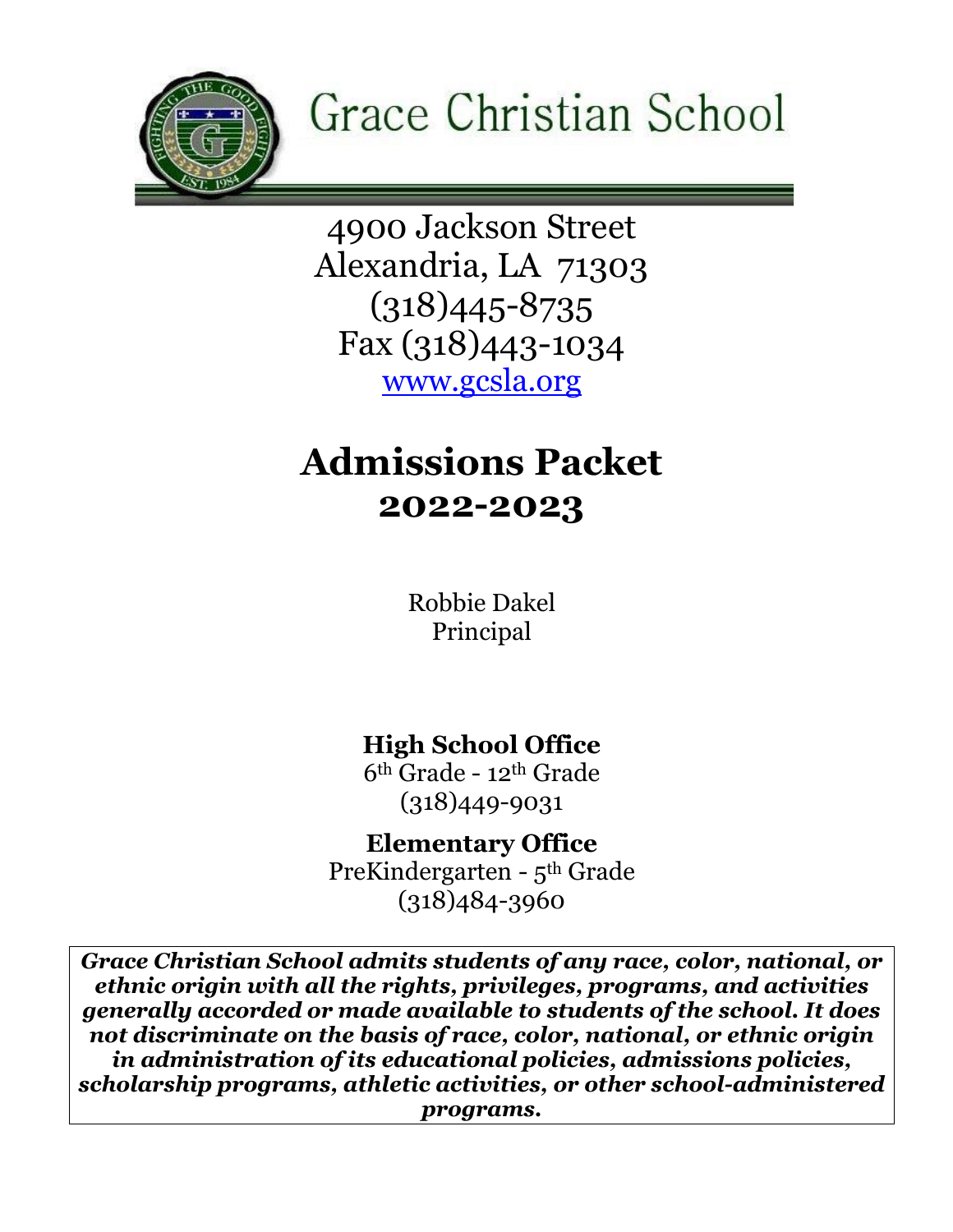

4900 Jackson Street Alexandria, LA 71303 (318)445-8735 Fax (318)443-1034 [www.gcsla.org](http://www.gcsla.org/)

## **Admissions Packet 2022-2023**

Robbie Dakel Principal

## **High School Office**

6th Grade - 12th Grade (318)449-9031

**Elementary Office** PreKindergarten - 5th Grade (318)484-3960

*Grace Christian School admits students of any race, color, national, or ethnic origin with all the rights, privileges, programs, and activities generally accorded or made available to students of the school. It does not discriminate on the basis of race, color, national, or ethnic origin in administration of its educational policies, admissions policies, scholarship programs, athletic activities, or other school-administered programs.*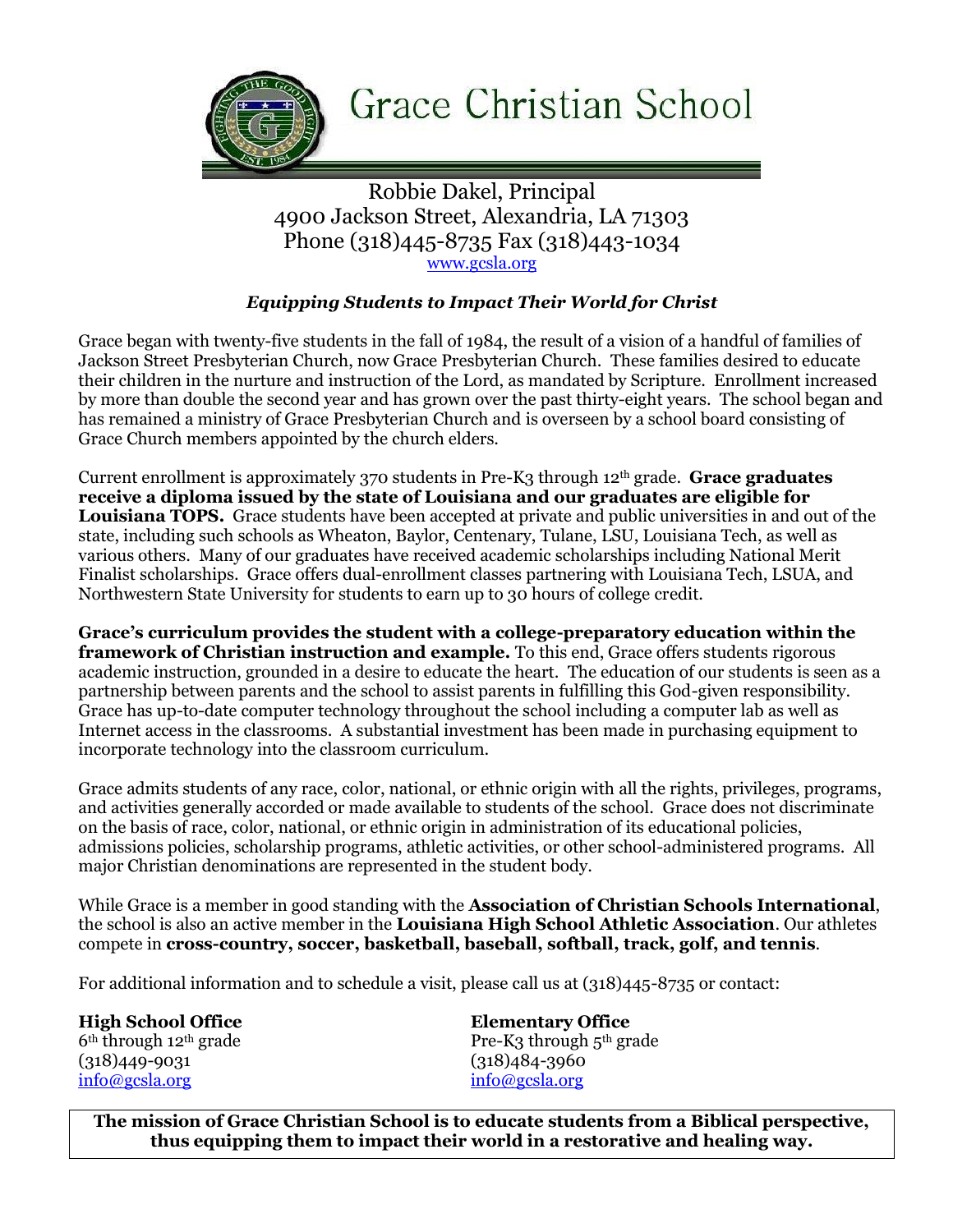

## Robbie Dakel, Principal 4900 Jackson Street, Alexandria, LA 71303 Phone (318)445-8735 Fax (318)443-1034 [www.gcsla.org](http://www.gcsla.org/)

### *Equipping Students to Impact Their World for Christ*

Grace began with twenty-five students in the fall of 1984, the result of a vision of a handful of families of Jackson Street Presbyterian Church, now Grace Presbyterian Church. These families desired to educate their children in the nurture and instruction of the Lord, as mandated by Scripture. Enrollment increased by more than double the second year and has grown over the past thirty-eight years. The school began and has remained a ministry of Grace Presbyterian Church and is overseen by a school board consisting of Grace Church members appointed by the church elders.

Current enrollment is approximately 370 students in Pre-K3 through 12th grade. **Grace graduates receive a diploma issued by the state of Louisiana and our graduates are eligible for Louisiana TOPS.** Grace students have been accepted at private and public universities in and out of the state, including such schools as Wheaton, Baylor, Centenary, Tulane, LSU, Louisiana Tech, as well as various others. Many of our graduates have received academic scholarships including National Merit Finalist scholarships. Grace offers dual-enrollment classes partnering with Louisiana Tech, LSUA, and Northwestern State University for students to earn up to 30 hours of college credit.

**Grace's curriculum provides the student with a college-preparatory education within the framework of Christian instruction and example.** To this end, Grace offers students rigorous academic instruction, grounded in a desire to educate the heart. The education of our students is seen as a partnership between parents and the school to assist parents in fulfilling this God-given responsibility. Grace has up-to-date computer technology throughout the school including a computer lab as well as Internet access in the classrooms. A substantial investment has been made in purchasing equipment to incorporate technology into the classroom curriculum.

Grace admits students of any race, color, national, or ethnic origin with all the rights, privileges, programs, and activities generally accorded or made available to students of the school. Grace does not discriminate on the basis of race, color, national, or ethnic origin in administration of its educational policies, admissions policies, scholarship programs, athletic activities, or other school-administered programs. All major Christian denominations are represented in the student body.

While Grace is a member in good standing with the **Association of Christian Schools International**, the school is also an active member in the **Louisiana High School Athletic Association**. Our athletes compete in **cross-country, soccer, basketball, baseball, softball, track, golf, and tennis**.

For additional information and to schedule a visit, please call us at (318)445-8735 or contact:

**High School Office Elementary Office**  $6<sup>th</sup>$  through 12<sup>th</sup> grade (318)449-9031 (318)484-3960 [info@gcsla.org](mailto:info@gcsla.org) [info@gcsla.org](mailto:info@gcsla.org)

Pre-K3 through  $5<sup>th</sup>$  grade

**The mission of Grace Christian School is to educate students from a Biblical perspective, thus equipping them to impact their world in a restorative and healing way.**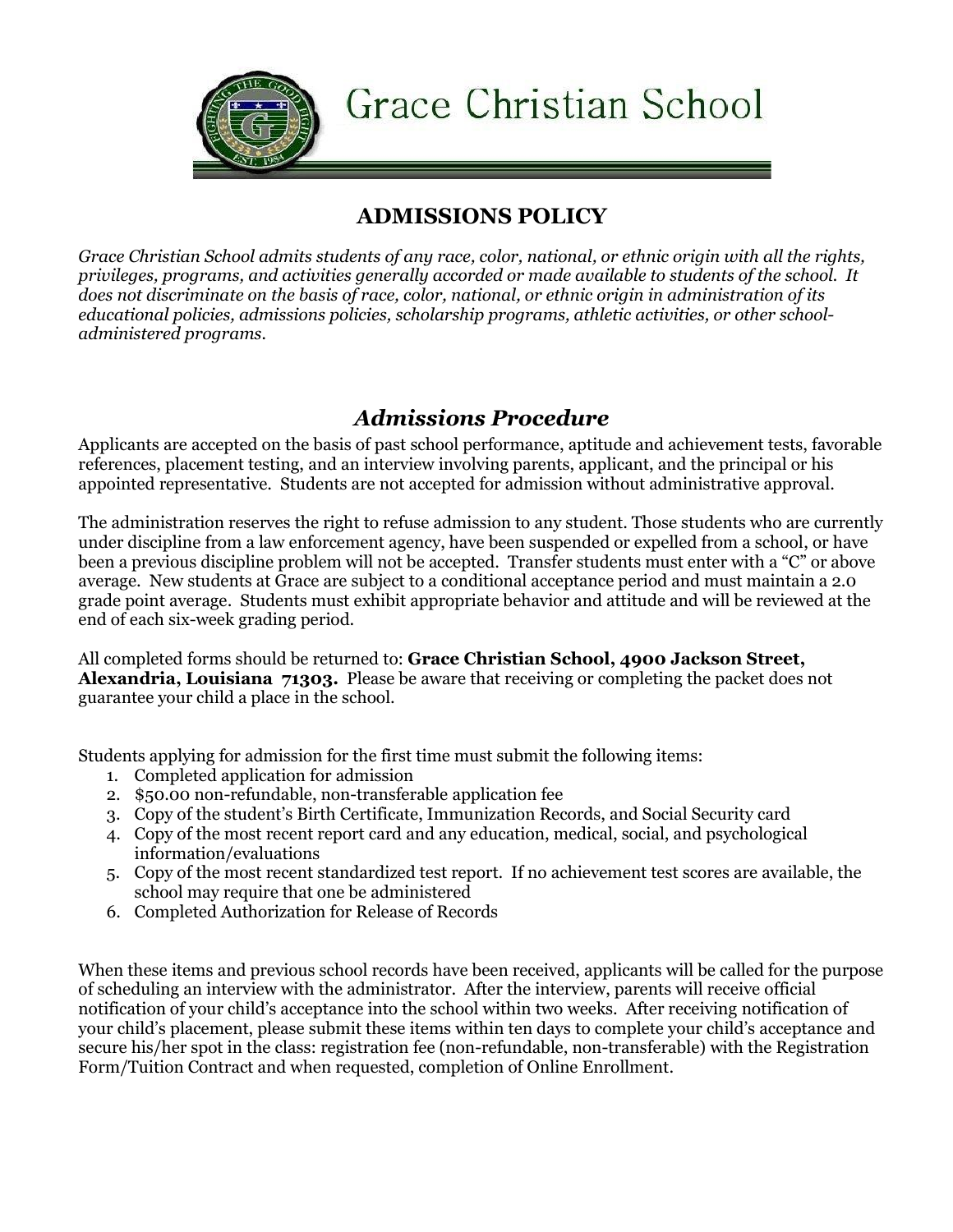

## **ADMISSIONS POLICY**

*Grace Christian School admits students of any race, color, national, or ethnic origin with all the rights, privileges, programs, and activities generally accorded or made available to students of the school. It does not discriminate on the basis of race, color, national, or ethnic origin in administration of its educational policies, admissions policies, scholarship programs, athletic activities, or other schooladministered programs.*

## *Admissions Procedure*

Applicants are accepted on the basis of past school performance, aptitude and achievement tests, favorable references, placement testing, and an interview involving parents, applicant, and the principal or his appointed representative. Students are not accepted for admission without administrative approval.

The administration reserves the right to refuse admission to any student. Those students who are currently under discipline from a law enforcement agency, have been suspended or expelled from a school, or have been a previous discipline problem will not be accepted. Transfer students must enter with a "C" or above average. New students at Grace are subject to a conditional acceptance period and must maintain a 2.0 grade point average. Students must exhibit appropriate behavior and attitude and will be reviewed at the end of each six-week grading period.

All completed forms should be returned to: **Grace Christian School, 4900 Jackson Street, Alexandria, Louisiana 71303.** Please be aware that receiving or completing the packet does not guarantee your child a place in the school.

Students applying for admission for the first time must submit the following items:

- 1. Completed application for admission
- 2. \$50.00 non-refundable, non-transferable application fee
- 3. Copy of the student's Birth Certificate, Immunization Records, and Social Security card
- 4. Copy of the most recent report card and any education, medical, social, and psychological information/evaluations
- 5. Copy of the most recent standardized test report. If no achievement test scores are available, the school may require that one be administered
- 6. Completed Authorization for Release of Records

When these items and previous school records have been received, applicants will be called for the purpose of scheduling an interview with the administrator. After the interview, parents will receive official notification of your child's acceptance into the school within two weeks. After receiving notification of your child's placement, please submit these items within ten days to complete your child's acceptance and secure his/her spot in the class: registration fee (non-refundable, non-transferable) with the Registration Form/Tuition Contract and when requested, completion of Online Enrollment.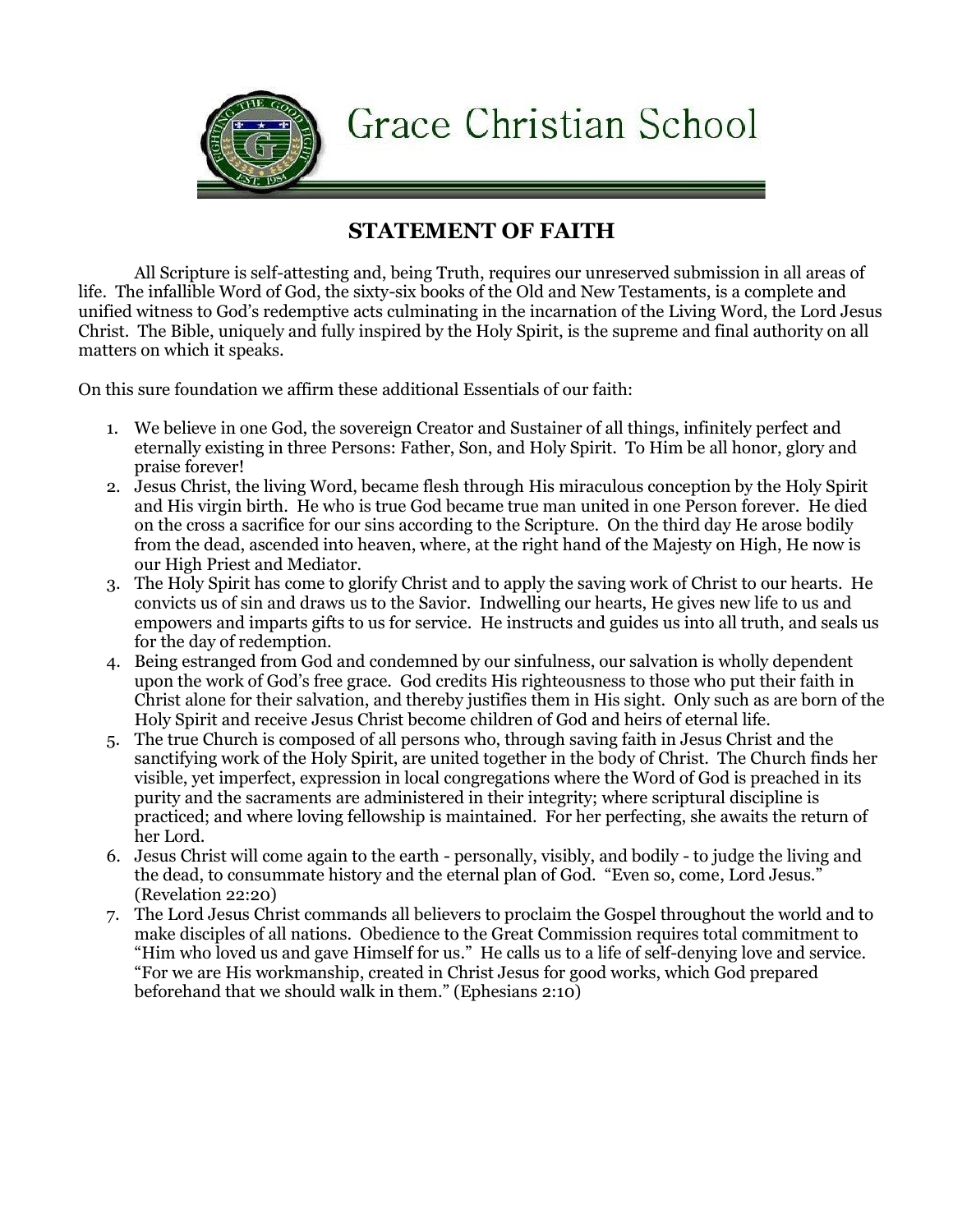

## **STATEMENT OF FAITH**

All Scripture is self-attesting and, being Truth, requires our unreserved submission in all areas of life. The infallible Word of God, the sixty-six books of the Old and New Testaments, is a complete and unified witness to God's redemptive acts culminating in the incarnation of the Living Word, the Lord Jesus Christ. The Bible, uniquely and fully inspired by the Holy Spirit, is the supreme and final authority on all matters on which it speaks.

On this sure foundation we affirm these additional Essentials of our faith:

- 1. We believe in one God, the sovereign Creator and Sustainer of all things, infinitely perfect and eternally existing in three Persons: Father, Son, and Holy Spirit. To Him be all honor, glory and praise forever!
- 2. Jesus Christ, the living Word, became flesh through His miraculous conception by the Holy Spirit and His virgin birth. He who is true God became true man united in one Person forever. He died on the cross a sacrifice for our sins according to the Scripture. On the third day He arose bodily from the dead, ascended into heaven, where, at the right hand of the Majesty on High, He now is our High Priest and Mediator.
- 3. The Holy Spirit has come to glorify Christ and to apply the saving work of Christ to our hearts. He convicts us of sin and draws us to the Savior. Indwelling our hearts, He gives new life to us and empowers and imparts gifts to us for service. He instructs and guides us into all truth, and seals us for the day of redemption.
- 4. Being estranged from God and condemned by our sinfulness, our salvation is wholly dependent upon the work of God's free grace. God credits His righteousness to those who put their faith in Christ alone for their salvation, and thereby justifies them in His sight. Only such as are born of the Holy Spirit and receive Jesus Christ become children of God and heirs of eternal life.
- 5. The true Church is composed of all persons who, through saving faith in Jesus Christ and the sanctifying work of the Holy Spirit, are united together in the body of Christ. The Church finds her visible, yet imperfect, expression in local congregations where the Word of God is preached in its purity and the sacraments are administered in their integrity; where scriptural discipline is practiced; and where loving fellowship is maintained. For her perfecting, she awaits the return of her Lord.
- 6. Jesus Christ will come again to the earth personally, visibly, and bodily to judge the living and the dead, to consummate history and the eternal plan of God. "Even so, come, Lord Jesus." (Revelation 22:20)
- 7. The Lord Jesus Christ commands all believers to proclaim the Gospel throughout the world and to make disciples of all nations. Obedience to the Great Commission requires total commitment to "Him who loved us and gave Himself for us." He calls us to a life of self-denying love and service. "For we are His workmanship, created in Christ Jesus for good works, which God prepared beforehand that we should walk in them." (Ephesians 2:10)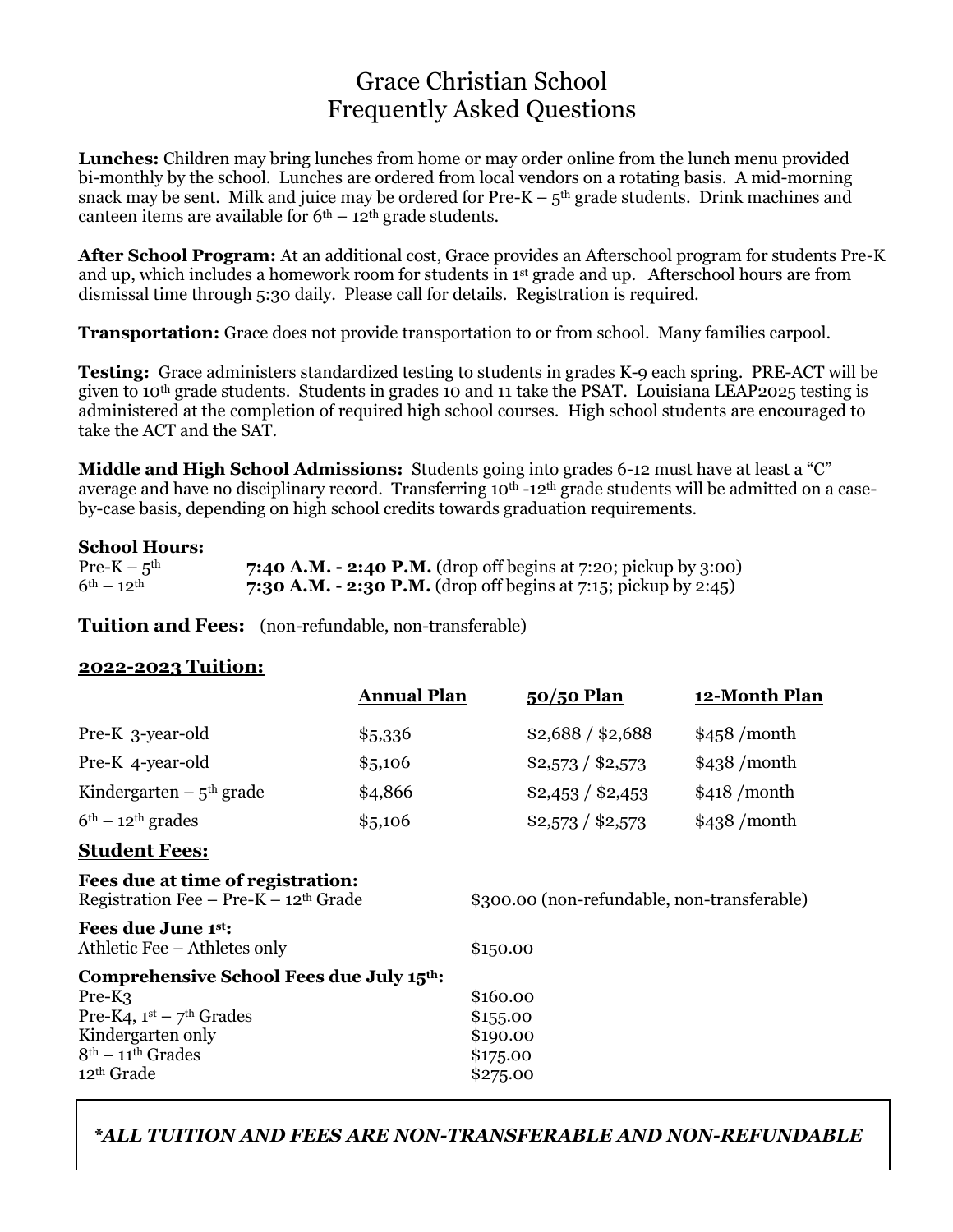## Grace Christian School Frequently Asked Questions

**Lunches:** Children may bring lunches from home or may order online from the lunch menu provided bi-monthly by the school. Lunches are ordered from local vendors on a rotating basis. A mid-morning snack may be sent. Milk and juice may be ordered for  $Pre-K - 5<sup>th</sup>$  grade students. Drink machines and canteen items are available for  $6<sup>th</sup> - 12<sup>th</sup>$  grade students.

**After School Program:** At an additional cost, Grace provides an Afterschool program for students Pre-K and up, which includes a homework room for students in 1<sup>st</sup> grade and up. Afterschool hours are from dismissal time through 5:30 daily. Please call for details. Registration is required.

**Transportation:** Grace does not provide transportation to or from school. Many families carpool.

**Testing:** Grace administers standardized testing to students in grades K-9 each spring. PRE-ACT will be given to 10th grade students. Students in grades 10 and 11 take the PSAT. Louisiana LEAP2025 testing is administered at the completion of required high school courses. High school students are encouraged to take the ACT and the SAT.

**Middle and High School Admissions:** Students going into grades 6-12 must have at least a "C" average and have no disciplinary record. Transferring 10<sup>th</sup> -12<sup>th</sup> grade students will be admitted on a caseby-case basis, depending on high school credits towards graduation requirements.

#### **School Hours:**

| Pre-K – $5^{\text{th}}$ | 7:40 A.M. - 2:40 P.M. (drop off begins at 7:20; pickup by 3:00)        |
|-------------------------|------------------------------------------------------------------------|
| $6^{th} - 12^{th}$      | <b>7:30 A.M. - 2:30 P.M.</b> (drop off begins at 7:15; pickup by 2:45) |

**Tuition and Fees:** (non-refundable, non-transferable)

#### **2022-2023 Tuition:**

|                                                                                                                                                | <b>Annual Plan</b> | 50/50 Plan                                               | 12-Month Plan |  |
|------------------------------------------------------------------------------------------------------------------------------------------------|--------------------|----------------------------------------------------------|---------------|--|
| Pre-K 3-year-old                                                                                                                               | \$5,336            | \$2,688 / \$2,688                                        | \$458/month   |  |
| Pre-K 4-year-old                                                                                                                               | \$5,106            | \$2,573 / \$2,573                                        | \$438/month   |  |
| Kindergarten – $5th$ grade                                                                                                                     | \$4,866            | \$2,453 / \$2,453                                        | \$418/month   |  |
| $6th - 12th$ grades                                                                                                                            | \$5,106            | \$2,573 / \$2,573                                        | \$438/month   |  |
| <b>Student Fees:</b>                                                                                                                           |                    |                                                          |               |  |
| Fees due at time of registration:<br>Registration Fee - Pre-K - $12th$ Grade                                                                   |                    | \$300.00 (non-refundable, non-transferable)              |               |  |
| <b>Fees due June 1st:</b><br>Athletic Fee – Athletes only                                                                                      |                    | \$150.00                                                 |               |  |
| Comprehensive School Fees due July 15th:<br>$Pre-K3$<br>Pre-K4, $1st - 7th Grades$<br>Kindergarten only<br>$8th - 11th Grades$<br>$12th$ Grade |                    | \$160.00<br>\$155.00<br>\$190.00<br>\$175.00<br>\$275.00 |               |  |

#### *\*ALL TUITION AND FEES ARE NON-TRANSFERABLE AND NON-REFUNDABLE*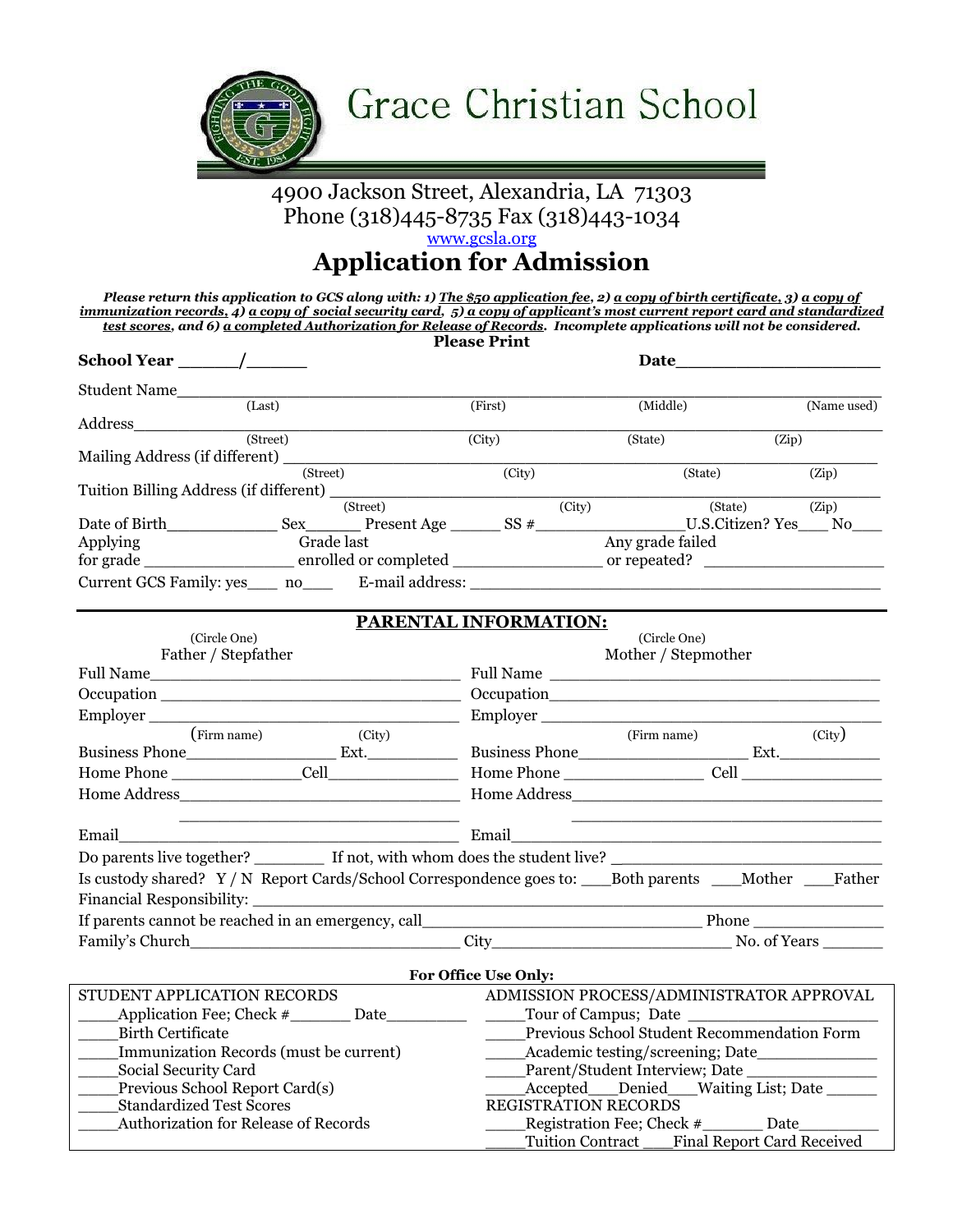

### 4900 Jackson Street, Alexandria, LA 71303 Phone (318)445-8735 Fax (318)443-1034 [www.gcsla.org](http://www.gcsla.org/)

**Application for Admission**

*Please return this application to GCS along with: 1) The \$50 application fee, 2) a copy of birth certificate, 3) a copy of immunization records, 4) a copy of social security card, 5) a copy of applicant's most current report card and standardized test scores, and 6) a completed Authorization for Release of Records. Incomplete applications will not be considered.* **Please Print**

|                                                                                                                                                                                                                                |                                                                                                                                                                                                                                |                                                                | Date                                           |                                                                                                                        |  |
|--------------------------------------------------------------------------------------------------------------------------------------------------------------------------------------------------------------------------------|--------------------------------------------------------------------------------------------------------------------------------------------------------------------------------------------------------------------------------|----------------------------------------------------------------|------------------------------------------------|------------------------------------------------------------------------------------------------------------------------|--|
|                                                                                                                                                                                                                                |                                                                                                                                                                                                                                |                                                                |                                                |                                                                                                                        |  |
|                                                                                                                                                                                                                                |                                                                                                                                                                                                                                | (First)                                                        | (Middle)                                       | (Name used)                                                                                                            |  |
| Address                                                                                                                                                                                                                        | (Street)                                                                                                                                                                                                                       | (City)                                                         | (State)                                        | (Zip)                                                                                                                  |  |
|                                                                                                                                                                                                                                |                                                                                                                                                                                                                                |                                                                |                                                |                                                                                                                        |  |
|                                                                                                                                                                                                                                | (Street)                                                                                                                                                                                                                       | $\overline{(City)}$                                            | (State)                                        | (Zip)                                                                                                                  |  |
| Tuition Billing Address (if different) _____                                                                                                                                                                                   |                                                                                                                                                                                                                                |                                                                |                                                |                                                                                                                        |  |
|                                                                                                                                                                                                                                | (Street)                                                                                                                                                                                                                       | (City)                                                         | (State)                                        | (Zip)                                                                                                                  |  |
| Applying                                                                                                                                                                                                                       | Grade last                                                                                                                                                                                                                     |                                                                | Any grade failed                               |                                                                                                                        |  |
|                                                                                                                                                                                                                                |                                                                                                                                                                                                                                |                                                                |                                                |                                                                                                                        |  |
|                                                                                                                                                                                                                                |                                                                                                                                                                                                                                |                                                                |                                                |                                                                                                                        |  |
|                                                                                                                                                                                                                                |                                                                                                                                                                                                                                | PARENTAL INFORMATION:                                          |                                                |                                                                                                                        |  |
| (Circle One)                                                                                                                                                                                                                   |                                                                                                                                                                                                                                |                                                                | (Circle One)                                   |                                                                                                                        |  |
| Father / Stepfather                                                                                                                                                                                                            |                                                                                                                                                                                                                                |                                                                | Mother / Stepmother                            |                                                                                                                        |  |
|                                                                                                                                                                                                                                |                                                                                                                                                                                                                                |                                                                | Full Name                                      |                                                                                                                        |  |
|                                                                                                                                                                                                                                |                                                                                                                                                                                                                                |                                                                |                                                |                                                                                                                        |  |
| (Firm name)                                                                                                                                                                                                                    | Employer                                                                                                                                                                                                                       | Employer                                                       | (Firm name)                                    | (City)                                                                                                                 |  |
|                                                                                                                                                                                                                                | (City)                                                                                                                                                                                                                         |                                                                |                                                |                                                                                                                        |  |
|                                                                                                                                                                                                                                |                                                                                                                                                                                                                                |                                                                |                                                |                                                                                                                        |  |
|                                                                                                                                                                                                                                | Home Address Party and Party and Party and Party and Party and Party and Party and Party and Party and Party and Party and Party and Party and Party and Party and Party and Party and Party and Party and Party and Party and |                                                                |                                                |                                                                                                                        |  |
|                                                                                                                                                                                                                                |                                                                                                                                                                                                                                |                                                                |                                                |                                                                                                                        |  |
|                                                                                                                                                                                                                                |                                                                                                                                                                                                                                | Email                                                          |                                                | <u> 1980 - Johann John Harry Harry Harry Harry Harry Harry Harry Harry Harry Harry Harry Harry Harry Harry Harry H</u> |  |
|                                                                                                                                                                                                                                |                                                                                                                                                                                                                                |                                                                |                                                |                                                                                                                        |  |
|                                                                                                                                                                                                                                | Is custody shared? Y / N Report Cards/School Correspondence goes to: ___Both parents ___Mother ___Father                                                                                                                       |                                                                |                                                |                                                                                                                        |  |
|                                                                                                                                                                                                                                |                                                                                                                                                                                                                                |                                                                |                                                |                                                                                                                        |  |
|                                                                                                                                                                                                                                |                                                                                                                                                                                                                                |                                                                |                                                |                                                                                                                        |  |
| Family's Church No. of Years No. of Years No. of Years No. of Years No. of Years No. of Years No. of Years No. of Years No. of Years No. of Years No. of Years No. of Years No. of Years No. of Years No. of Years No. of Year |                                                                                                                                                                                                                                |                                                                |                                                |                                                                                                                        |  |
|                                                                                                                                                                                                                                |                                                                                                                                                                                                                                | For Office Use Only:                                           |                                                |                                                                                                                        |  |
| STUDENT APPLICATION RECORDS                                                                                                                                                                                                    |                                                                                                                                                                                                                                |                                                                | ADMISSION PROCESS/ADMINISTRATOR APPROVAL       |                                                                                                                        |  |
|                                                                                                                                                                                                                                | Application Fee; Check #_________ Date__________                                                                                                                                                                               |                                                                | Tour of Campus; Date                           |                                                                                                                        |  |
| <b>Birth Certificate</b>                                                                                                                                                                                                       |                                                                                                                                                                                                                                |                                                                | Previous School Student Recommendation Form    |                                                                                                                        |  |
| Immunization Records (must be current)<br>Academic testing/screening; Date                                                                                                                                                     |                                                                                                                                                                                                                                |                                                                |                                                |                                                                                                                        |  |
| Social Security Card                                                                                                                                                                                                           |                                                                                                                                                                                                                                | Parent/Student Interview; Date                                 |                                                |                                                                                                                        |  |
| Previous School Report Card(s)                                                                                                                                                                                                 |                                                                                                                                                                                                                                | Accepted___Denied___Waiting List; Date ______                  |                                                |                                                                                                                        |  |
| <b>Standardized Test Scores</b>                                                                                                                                                                                                | Authorization for Release of Records                                                                                                                                                                                           | REGISTRATION RECORDS<br>Registration Fee; Check #_______ Date_ |                                                |                                                                                                                        |  |
|                                                                                                                                                                                                                                |                                                                                                                                                                                                                                |                                                                | Tuition Contract ___Final Report Card Received |                                                                                                                        |  |
|                                                                                                                                                                                                                                |                                                                                                                                                                                                                                |                                                                |                                                |                                                                                                                        |  |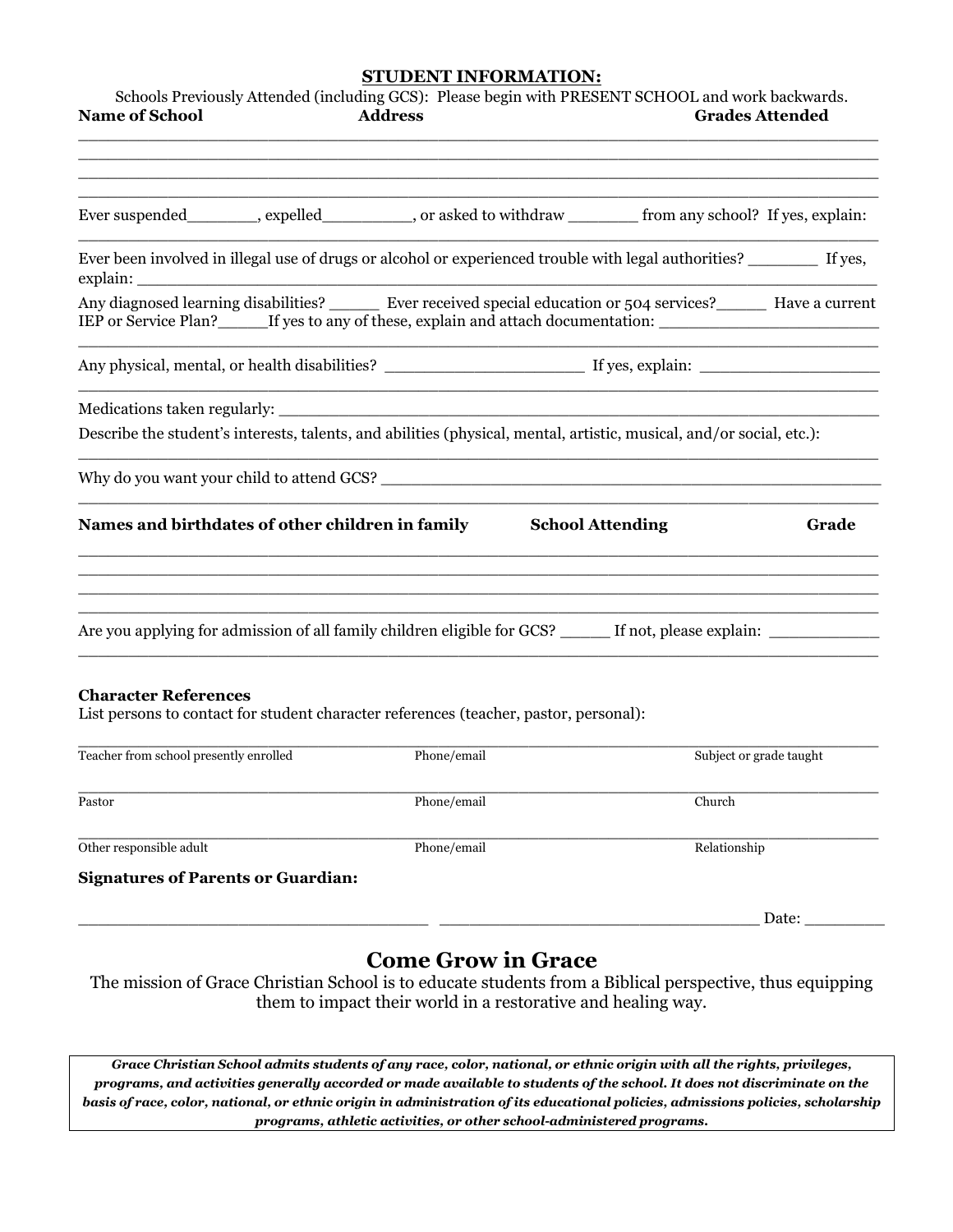#### **STUDENT INFORMATION:**

| <b>Name of School</b>                                                                                                                                                                                                                 | Schools Previously Attended (including GCS): Please begin with PRESENT SCHOOL and work backwards.<br><b>Address</b> | <b>Grades Attended</b>  |  |
|---------------------------------------------------------------------------------------------------------------------------------------------------------------------------------------------------------------------------------------|---------------------------------------------------------------------------------------------------------------------|-------------------------|--|
|                                                                                                                                                                                                                                       |                                                                                                                     |                         |  |
| Ever suspended__________, expelled____________, or asked to withdraw __________ from any school? If yes, explain:                                                                                                                     |                                                                                                                     |                         |  |
| Ever been involved in illegal use of drugs or alcohol or experienced trouble with legal authorities? _________ If yes,<br>explain:                                                                                                    |                                                                                                                     |                         |  |
| Any diagnosed learning disabilities? _______ Ever received special education or 504 services? ______ Have a current<br>IEP or Service Plan?________If yes to any of these, explain and attach documentation: ________________________ |                                                                                                                     |                         |  |
|                                                                                                                                                                                                                                       |                                                                                                                     |                         |  |
|                                                                                                                                                                                                                                       |                                                                                                                     |                         |  |
| Describe the student's interests, talents, and abilities (physical, mental, artistic, musical, and/or social, etc.):                                                                                                                  |                                                                                                                     |                         |  |
|                                                                                                                                                                                                                                       |                                                                                                                     |                         |  |
| Names and birthdates of other children in family                                                                                                                                                                                      | <b>School Attending</b>                                                                                             | Grade                   |  |
| Are you applying for admission of all family children eligible for GCS? ______ If not, please explain: _______                                                                                                                        |                                                                                                                     |                         |  |
| <b>Character References</b><br>List persons to contact for student character references (teacher, pastor, personal):                                                                                                                  |                                                                                                                     |                         |  |
| Teacher from school presently enrolled                                                                                                                                                                                                | Phone/email                                                                                                         | Subject or grade taught |  |
| Pastor                                                                                                                                                                                                                                | Phone/email                                                                                                         | Church                  |  |
| Other responsible adult                                                                                                                                                                                                               | Phone/email                                                                                                         | Relationship            |  |
|                                                                                                                                                                                                                                       |                                                                                                                     |                         |  |
| <b>Signatures of Parents or Guardian:</b>                                                                                                                                                                                             |                                                                                                                     |                         |  |

#### **Come Grow in Grace**

The mission of Grace Christian School is to educate students from a Biblical perspective, thus equipping them to impact their world in a restorative and healing way.

*Grace Christian School admits students of any race, color, national, or ethnic origin with all the rights, privileges, programs, and activities generally accorded or made available to students of the school. It does not discriminate on the basis of race, color, national, or ethnic origin in administration of its educational policies, admissions policies, scholarship programs, athletic activities, or other school-administered programs.*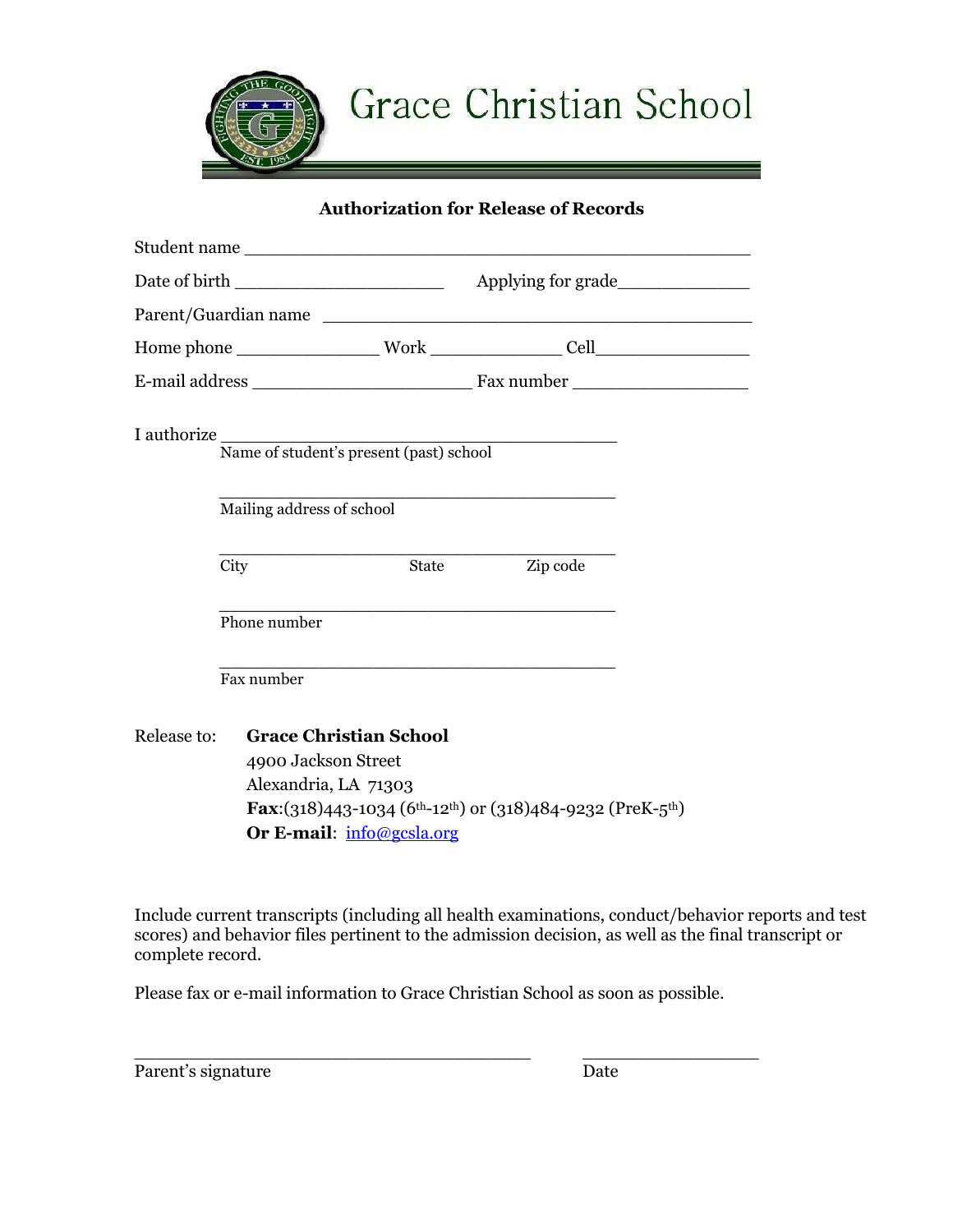

#### **Authorization for Release of Records**

|             |                                             |                                                            | Parent/Guardian name                                                                            |
|-------------|---------------------------------------------|------------------------------------------------------------|-------------------------------------------------------------------------------------------------|
|             |                                             |                                                            |                                                                                                 |
|             |                                             |                                                            |                                                                                                 |
| I authorize | Mailing address of school                   | Name of student's present (past) school                    |                                                                                                 |
|             | City<br>Phone number                        | State                                                      | Zip code                                                                                        |
|             | Fax number                                  |                                                            |                                                                                                 |
| Release to: | 4900 Jackson Street<br>Alexandria, LA 71303 | <b>Grace Christian School</b><br>Or E-mail: info@gcsla.org | Fax:(318)443-1034 (6 <sup>th</sup> -12 <sup>th</sup> ) or (318)484-9232 (PreK-5 <sup>th</sup> ) |

Include current transcripts (including all health examinations, conduct/behavior reports and test scores) and behavior files pertinent to the admission decision, as well as the final transcript or complete record.

Please fax or e-mail information to Grace Christian School as soon as possible.

\_\_\_\_\_\_\_\_\_\_\_\_\_\_\_\_\_\_\_\_\_\_\_\_\_\_\_\_\_\_\_\_\_\_\_\_ \_\_\_\_\_\_\_\_\_\_\_\_\_\_\_\_

Parent's signature Date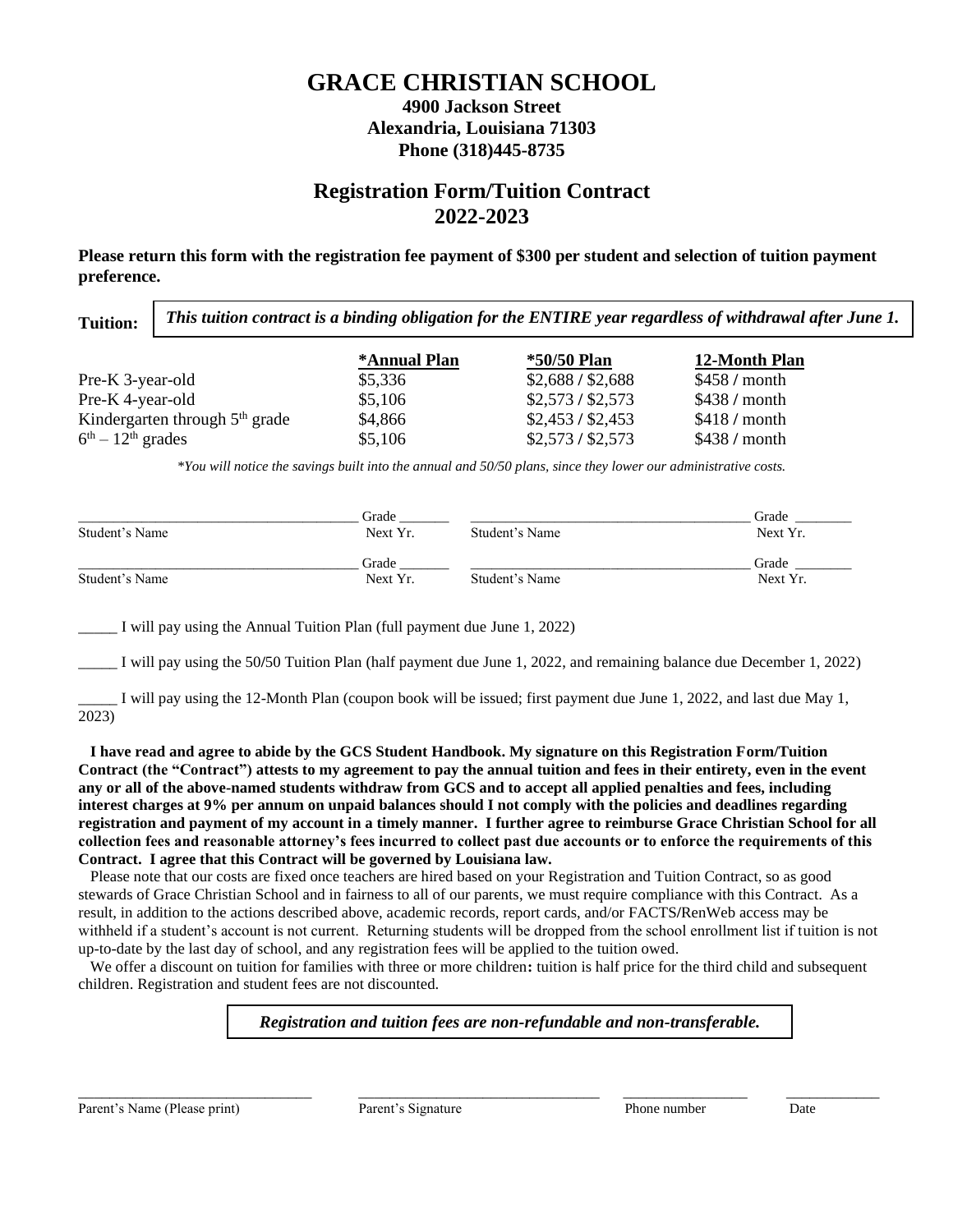### **GRACE CHRISTIAN SCHOOL**

#### **4900 Jackson Street Alexandria, Louisiana 71303 Phone (318)445-8735**

## **Registration Form/Tuition Contract 2022-2023**

**Please return this form with the registration fee payment of \$300 per student and selection of tuition payment preference.**

**Tuition:** *This tuition contract is a binding obligation for the ENTIRE year regardless of withdrawal after June 1.*

|                                  | *Annual Plan | *50/50 Plan       | 12-Month Plan  |
|----------------------------------|--------------|-------------------|----------------|
| Pre-K 3-year-old                 | \$5,336      | \$2,688 / \$2,688 | $$458 /$ month |
| Pre-K 4-year-old                 | \$5,106      | \$2,573 / \$2,573 | $$438 /$ month |
| Kindergarten through $5th$ grade | \$4,866      | \$2,453 / \$2,453 | $$418 /$ month |
| $6th - 12th$ grades              | \$5,106      | \$2,573 / \$2,573 | \$438 / month  |

*\*You will notice the savings built into the annual and 50/50 plans, since they lower our administrative costs.*

|                | Grade    |                | Grade    |
|----------------|----------|----------------|----------|
| Student's Name | Next Yr. | Student's Name | Next Yr. |
|                | Grade    |                | Grade    |
| Student's Name | Next Yr. | Student's Name | Next Yr. |

\_\_\_\_\_ I will pay using the Annual Tuition Plan (full payment due June 1, 2022)

\_\_\_\_\_ I will pay using the 50**/**50 Tuition Plan (half payment due June 1, 2022, and remaining balance due December 1, 2022)

I will pay using the 12-Month Plan (coupon book will be issued; first payment due June 1, 2022, and last due May 1, 2023)

 **I have read and agree to abide by the GCS Student Handbook. My signature on this Registration Form/Tuition Contract (the "Contract") attests to my agreement to pay the annual tuition and fees in their entirety, even in the event any or all of the above-named students withdraw from GCS and to accept all applied penalties and fees, including interest charges at 9% per annum on unpaid balances should I not comply with the policies and deadlines regarding registration and payment of my account in a timely manner. I further agree to reimburse Grace Christian School for all collection fees and reasonable attorney's fees incurred to collect past due accounts or to enforce the requirements of this Contract. I agree that this Contract will be governed by Louisiana law.** 

 Please note that our costs are fixed once teachers are hired based on your Registration and Tuition Contract, so as good stewards of Grace Christian School and in fairness to all of our parents, we must require compliance with this Contract. As a result, in addition to the actions described above, academic records, report cards, and/or FACTS**/**RenWeb access may be withheld if a student's account is not current. Returning students will be dropped from the school enrollment list if tuition is not up-to-date by the last day of school, and any registration fees will be applied to the tuition owed.

 We offer a discount on tuition for families with three or more children**:** tuition is half price for the third child and subsequent children. Registration and student fees are not discounted.

\_\_\_\_\_\_\_\_\_\_\_\_\_\_\_\_\_\_\_\_\_\_\_\_\_\_\_\_\_\_ \_\_\_\_\_\_\_\_\_\_\_\_\_\_\_\_\_\_\_\_\_\_\_\_\_\_\_\_\_\_\_ \_\_\_\_\_\_\_\_\_\_\_\_\_\_\_\_ \_\_\_\_\_\_\_\_\_\_\_\_

#### *Registration and tuition fees are non-refundable and non-transferable.*

Parent's Name (Please print) Parent's Signature Phone number Date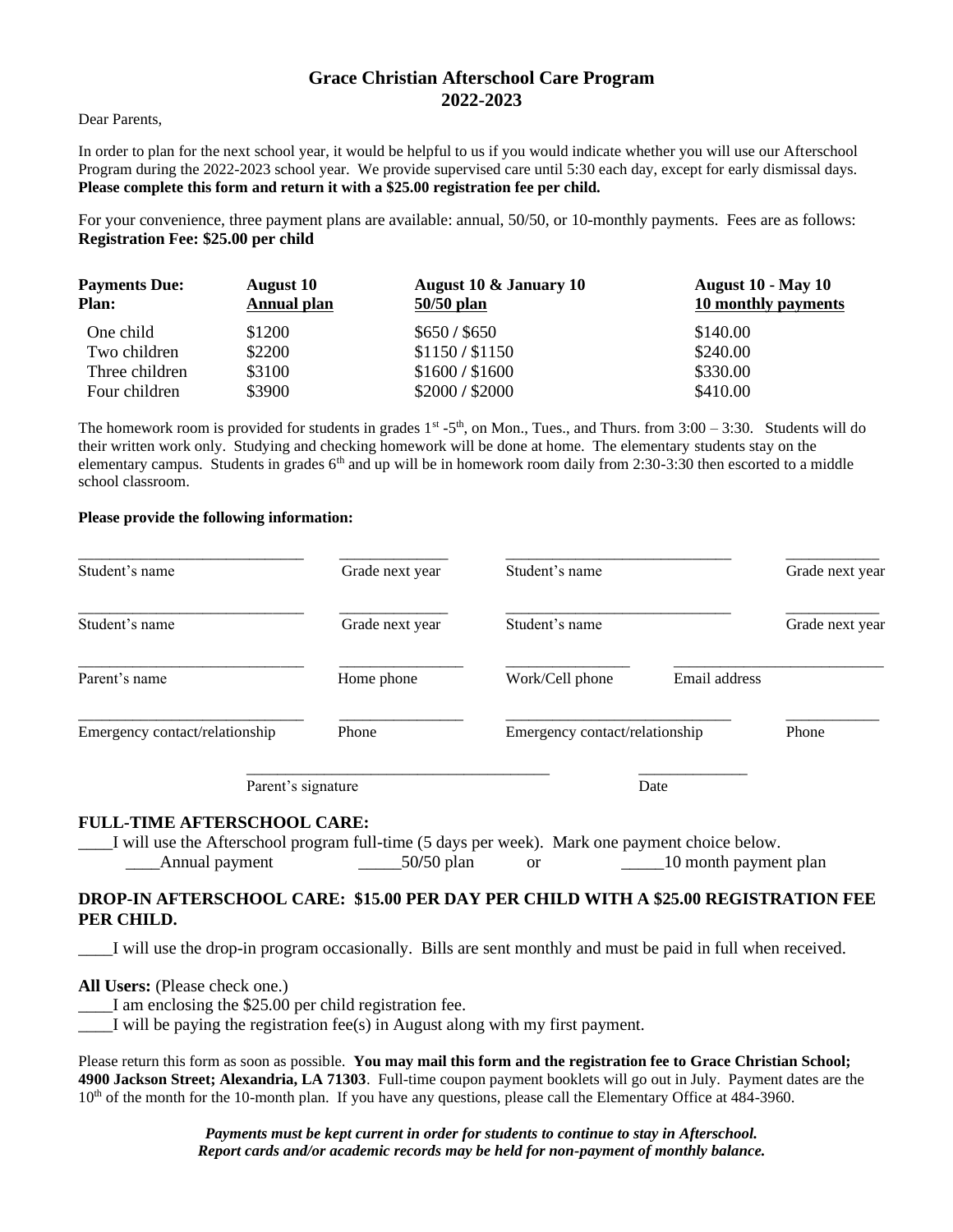#### **Grace Christian Afterschool Care Program 2022-2023**

#### Dear Parents,

In order to plan for the next school year, it would be helpful to us if you would indicate whether you will use our Afterschool Program during the 2022-2023 school year. We provide supervised care until 5:30 each day, except for early dismissal days. **Please complete this form and return it with a \$25.00 registration fee per child.** 

For your convenience, three payment plans are available: annual, 50/50, or 10-monthly payments. Fees are as follows: **Registration Fee: \$25.00 per child**

| <b>Payments Due:</b><br>Plan: | <b>August</b> 10<br>Annual plan | August 10 & January 10<br>50/50 plan | <b>August 10 - May 10</b><br>10 monthly payments |
|-------------------------------|---------------------------------|--------------------------------------|--------------------------------------------------|
| One child                     | \$1200                          | \$650/\$650                          | \$140.00                                         |
| Two children                  | \$2200                          | \$1150/\$1150                        | \$240.00                                         |
| Three children                | \$3100                          | \$1600 / \$1600                      | \$330.00                                         |
| Four children                 | \$3900                          | \$2000 / \$2000                      | \$410.00                                         |

The homework room is provided for students in grades  $1^{st}$  -5<sup>th</sup>, on Mon., Tues., and Thurs. from  $3:00 - 3:30$ . Students will do their written work only. Studying and checking homework will be done at home. The elementary students stay on the elementary campus. Students in grades  $6<sup>th</sup>$  and up will be in homework room daily from 2:30-3:30 then escorted to a middle school classroom.

#### **Please provide the following information:**

| Student's name                                                                                                                                         | Grade next year | Student's name                 |                       | Grade next year |
|--------------------------------------------------------------------------------------------------------------------------------------------------------|-----------------|--------------------------------|-----------------------|-----------------|
| Student's name                                                                                                                                         | Grade next year | Student's name                 |                       | Grade next year |
| Parent's name                                                                                                                                          | Home phone      | Work/Cell phone                | Email address         |                 |
| Emergency contact/relationship                                                                                                                         | Phone           | Emergency contact/relationship |                       | Phone           |
| Parent's signature                                                                                                                                     |                 |                                | Date                  |                 |
| <b>FULL-TIME AFTERSCHOOL CARE:</b><br>I will use the Afterschool program full-time (5 days per week). Mark one payment choice below.<br>Annual payment | 50/50 plan      | <sub>or</sub>                  | 10 month payment plan |                 |
| <b>DROP-IN AFTERSCHOOL CARE: \$15.00 PER DAY PER CHILD WITH A \$25.00 REGISTRATION FEE</b><br>PER CHILD.                                               |                 |                                |                       |                 |
| I will use the drop-in program occasionally. Bills are sent monthly and must be paid in full when received.                                            |                 |                                |                       |                 |

**All Users:** (Please check one.)

\_\_\_\_I am enclosing the \$25.00 per child registration fee.

\_\_\_\_I will be paying the registration fee(s) in August along with my first payment.

Please return this form as soon as possible. **You may mail this form and the registration fee to Grace Christian School; 4900 Jackson Street; Alexandria, LA 71303**. Full-time coupon payment booklets will go out in July. Payment dates are the 10<sup>th</sup> of the month for the 10-month plan. If you have any questions, please call the Elementary Office at 484-3960.

> *Payments must be kept current in order for students to continue to stay in Afterschool. Report cards and/or academic records may be held for non-payment of monthly balance.*